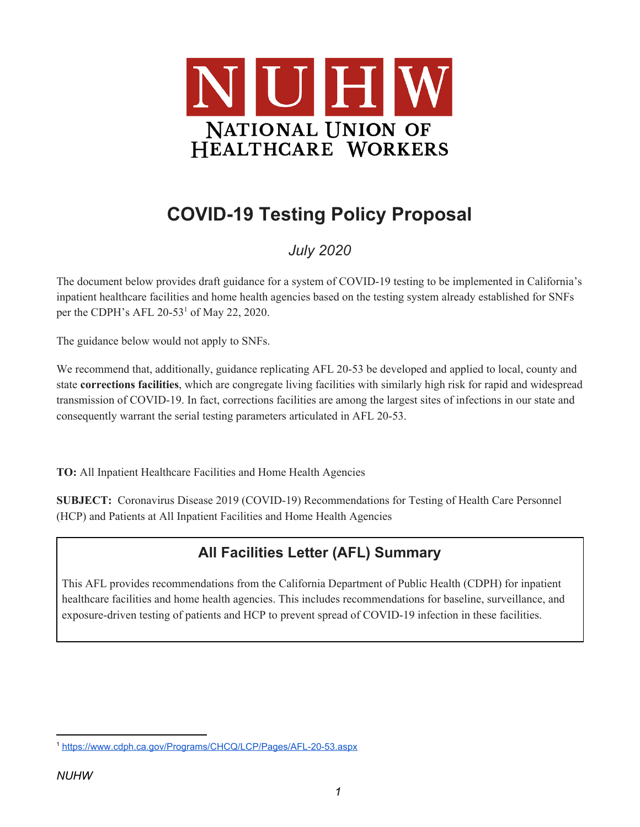

# **COVID-19 Testing Policy Proposal**

# *July 2020*

The document below provides draft guidance for a system of COVID-19 testing to be implemented in California's inpatient healthcare facilities and home health agencies based on the testing system already established for SNFs per the CDPH's AFL  $20-53<sup>1</sup>$  of May 22, 2020.

The guidance below would not apply to SNFs.

We recommend that, additionally, guidance replicating AFL 20-53 be developed and applied to local, county and state **corrections facilities**, which are congregate living facilities with similarly high risk for rapid and widespread transmission of COVID-19. In fact, corrections facilities are among the largest sites of infections in our state and consequently warrant the serial testing parameters articulated in AFL 20-53.

**TO:** All Inpatient Healthcare Facilities and Home Health Agencies

**SUBJECT:** Coronavirus Disease 2019 (COVID-19) Recommendations for Testing of Health Care Personnel (HCP) and Patients at All Inpatient Facilities and Home Health Agencies

# **All Facilities Letter (AFL) Summary**

This AFL provides recommendations from the California Department of Public Health (CDPH) for inpatient healthcare facilities and home health agencies. This includes recommendations for baseline, surveillance, and exposure-driven testing of patients and HCP to prevent spread of COVID-19 infection in these facilities.

<sup>1</sup> <https://www.cdph.ca.gov/Programs/CHCQ/LCP/Pages/AFL-20-53.aspx>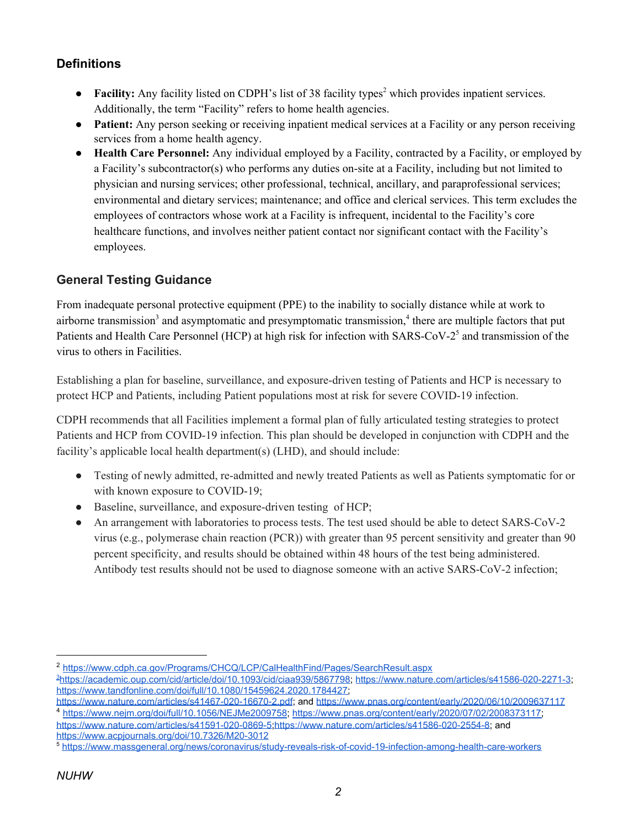#### **Definitions**

- **Facility:** Any facility listed on CDPH's list of 38 facility types<sup>2</sup> which provides inpatient services. Additionally, the term "Facility" refers to home health agencies.
- **Patient:** Any person seeking or receiving inpatient medical services at a Facility or any person receiving services from a home health agency.
- **Health Care Personnel:** Any individual employed by a Facility, contracted by a Facility, or employed by a Facility's subcontractor(s) who performs any duties on-site at a Facility, including but not limited to physician and nursing services; other professional, technical, ancillary, and paraprofessional services; environmental and dietary services; maintenance; and office and clerical services. This term excludes the employees of contractors whose work at a Facility is infrequent, incidental to the Facility's core healthcare functions, and involves neither patient contact nor significant contact with the Facility's employees.

## **General Testing Guidance**

From inadequate personal protective equipment (PPE) to the inability to socially distance while at work to airborne transmission<sup>3</sup> and asymptomatic and presymptomatic transmission,<sup>4</sup> there are multiple factors that put Patients and Health Care Personnel (HCP) at high risk for infection with SARS-CoV-2<sup>5</sup> and transmission of the virus to others in Facilities.

Establishing a plan for baseline, surveillance, and exposure-driven testing of Patients and HCP is necessary to protect HCP and Patients, including Patient populations most at risk for severe COVID-19 infection.

CDPH recommends that all Facilities implement a formal plan of fully articulated testing strategies to protect Patients and HCP from COVID-19 infection. This plan should be developed in conjunction with CDPH and the facility's applicable local health department(s) (LHD), and should include:

- Testing of newly admitted, re-admitted and newly treated Patients as well as Patients symptomatic for or with known exposure to COVID-19;
- Baseline, surveillance, and exposure-driven testing of HCP;
- An arrangement with laboratories to process tests. The test used should be able to detect SARS-CoV-2 virus (e.g., polymerase chain reaction (PCR)) with greater than 95 percent sensitivity and greater than 90 percent specificity, and results should be obtained within 48 hours of the test being administered. Antibody test results should not be used to diagnose someone with an active SARS-CoV-2 infection;

<sup>2</sup> <https://www.cdph.ca.gov/Programs/CHCQ/LCP/CalHealthFind/Pages/SearchResult.aspx>

<sup>3</sup><https://academic.oup.com/cid/article/doi/10.1093/cid/ciaa939/5867798>;<https://www.nature.com/articles/s41586-020-2271-3>; [https://www.tandfonline.com/doi/full/10.1080/15459624.2020.1784427;](https://www.tandfonline.com/doi/full/10.1080/15459624.2020.1784427)

<https://www.nature.com/articles/s41467-020-16670-2.pdf>; and <https://www.pnas.org/content/early/2020/06/10/2009637117> <sup>4</sup> <https://www.nejm.org/doi/full/10.1056/NEJMe2009758>; [https://www.pnas.org/content/early/2020/07/02/2008373117;](https://www.pnas.org/content/early/2020/07/02/2008373117)

<https://www.nature.com/articles/s41591-020-0869-5>[;https://www.nature.com/articles/s41586-020-2554-8;](https://www.nature.com/articles/s41586-020-2554-8) and <https://www.acpjournals.org/doi/10.7326/M20-3012>

<sup>5</sup> <https://www.massgeneral.org/news/coronavirus/study-reveals-risk-of-covid-19-infection-among-health-care-workers>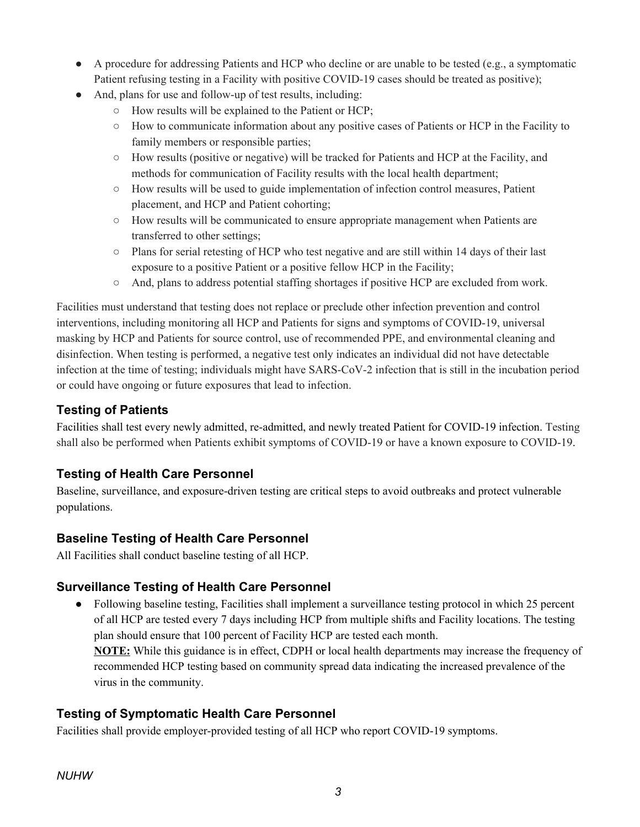- A procedure for addressing Patients and HCP who decline or are unable to be tested (e.g., a symptomatic Patient refusing testing in a Facility with positive COVID-19 cases should be treated as positive);
- And, plans for use and follow-up of test results, including:
	- How results will be explained to the Patient or HCP;
	- How to communicate information about any positive cases of Patients or HCP in the Facility to family members or responsible parties;
	- How results (positive or negative) will be tracked for Patients and HCP at the Facility, and methods for communication of Facility results with the local health department;
	- How results will be used to guide implementation of infection control measures, Patient placement, and HCP and Patient cohorting;
	- How results will be communicated to ensure appropriate management when Patients are transferred to other settings;
	- Plans for serial retesting of HCP who test negative and are still within 14 days of their last exposure to a positive Patient or a positive fellow HCP in the Facility;
	- And, plans to address potential staffing shortages if positive HCP are excluded from work.

Facilities must understand that testing does not replace or preclude other infection prevention and control interventions, including monitoring all HCP and Patients for signs and symptoms of COVID-19, universal masking by HCP and Patients for source control, use of recommended PPE, and environmental cleaning and disinfection. When testing is performed, a negative test only indicates an individual did not have detectable infection at the time of testing; individuals might have SARS-CoV-2 infection that is still in the incubation period or could have ongoing or future exposures that lead to infection.

#### **Testing of Patients**

Facilities shall test every newly admitted, re-admitted, and newly treated Patient for COVID-19 infection. Testing shall also be performed when Patients exhibit symptoms of COVID-19 or have a known exposure to COVID-19.

#### **Testing of Health Care Personnel**

Baseline, surveillance, and exposure-driven testing are critical steps to avoid outbreaks and protect vulnerable populations.

#### **Baseline Testing of Health Care Personnel**

All Facilities shall conduct baseline testing of all HCP.

#### **Surveillance Testing of Health Care Personnel**

Following baseline testing, Facilities shall implement a surveillance testing protocol in which 25 percent of all HCP are tested every 7 days including HCP from multiple shifts and Facility locations. The testing plan should ensure that 100 percent of Facility HCP are tested each month. **NOTE:** While this guidance is in effect, CDPH or local health departments may increase the frequency of recommended HCP testing based on community spread data indicating the increased prevalence of the virus in the community.

#### **Testing of Symptomatic Health Care Personnel**

Facilities shall provide employer-provided testing of all HCP who report COVID-19 symptoms.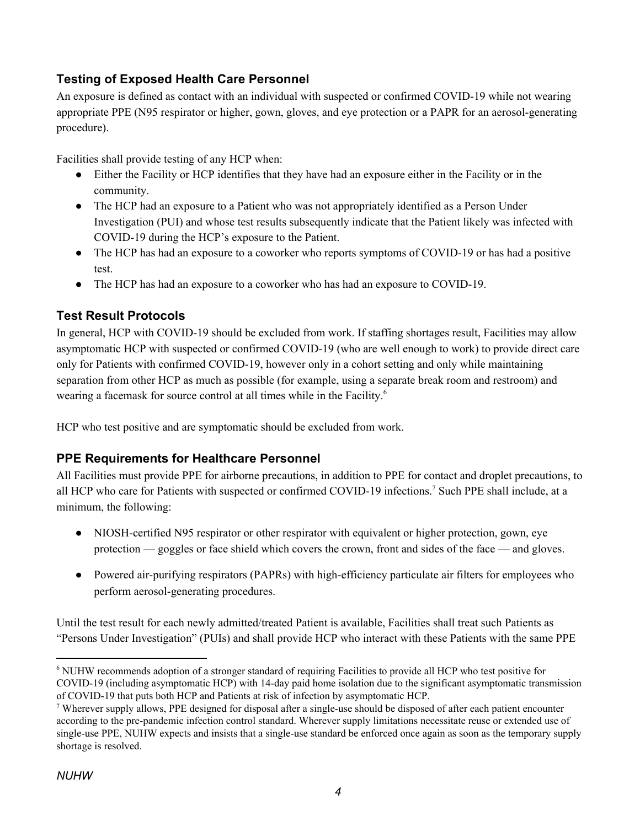## **Testing of Exposed Health Care Personnel**

An exposure is defined as contact with an individual with suspected or confirmed COVID-19 while not wearing appropriate PPE (N95 respirator or higher, gown, gloves, and eye protection or a PAPR for an aerosol-generating procedure).

Facilities shall provide testing of any HCP when:

- Either the Facility or HCP identifies that they have had an exposure either in the Facility or in the community.
- The HCP had an exposure to a Patient who was not appropriately identified as a Person Under Investigation (PUI) and whose test results subsequently indicate that the Patient likely was infected with COVID-19 during the HCP's exposure to the Patient.
- The HCP has had an exposure to a coworker who reports symptoms of COVID-19 or has had a positive test.
- The HCP has had an exposure to a coworker who has had an exposure to COVID-19.

#### **Test Result Protocols**

In general, HCP with COVID-19 should be excluded from work. If staffing shortages result, Facilities may allow asymptomatic HCP with suspected or confirmed COVID-19 (who are well enough to work) to provide direct care only for Patients with confirmed COVID-19, however only in a cohort setting and only while maintaining separation from other HCP as much as possible (for example, using a separate break room and restroom) and wearing a facemask for source control at all times while in the Facility. 6

HCP who test positive and are symptomatic should be excluded from work.

#### **PPE Requirements for Healthcare Personnel**

All Facilities must provide PPE for airborne precautions, in addition to PPE for contact and droplet precautions, to all HCP who care for Patients with suspected or confirmed COVID-19 infections.<sup>7</sup> Such PPE shall include, at a minimum, the following:

- NIOSH-certified N95 respirator or other respirator with equivalent or higher protection, gown, eye protection — goggles or face shield which covers the crown, front and sides of the face — and gloves.
- Powered air-purifying respirators (PAPRs) with high-efficiency particulate air filters for employees who perform aerosol-generating procedures.

Until the test result for each newly admitted/treated Patient is available, Facilities shall treat such Patients as "Persons Under Investigation" (PUIs) and shall provide HCP who interact with these Patients with the same PPE

<sup>6</sup> NUHW recommends adoption of a stronger standard of requiring Facilities to provide all HCP who test positive for COVID-19 (including asymptomatic HCP) with 14-day paid home isolation due to the significant asymptomatic transmission of COVID-19 that puts both HCP and Patients at risk of infection by asymptomatic HCP.

<sup>7</sup> Wherever supply allows, PPE designed for disposal after a single-use should be disposed of after each patient encounter according to the pre-pandemic infection control standard. Wherever supply limitations necessitate reuse or extended use of single-use PPE, NUHW expects and insists that a single-use standard be enforced once again as soon as the temporary supply shortage is resolved.